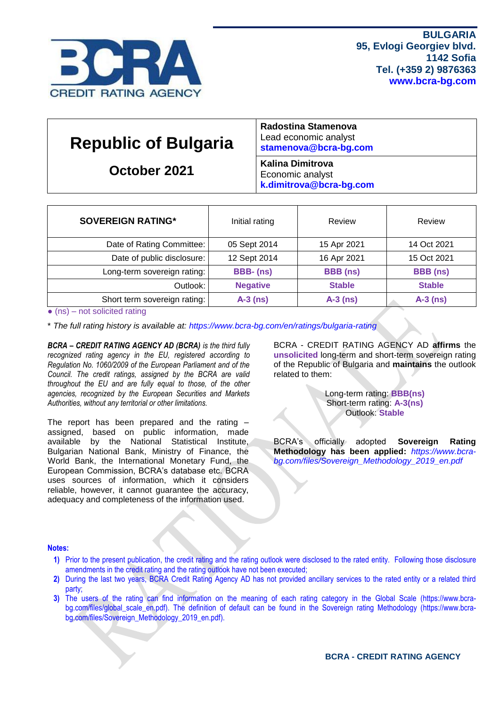

| <b>Republic of Bulgaria</b> | Radostina Stamenova<br>Lead economic analyst<br>stamenova@bcra-bg.com  |
|-----------------------------|------------------------------------------------------------------------|
| October 2021                | <b>Kalina Dimitrova</b><br>Economic analyst<br>k.dimitrova@bcra-bg.com |

| <b>SOVEREIGN RATING*</b>     | Initial rating  | Review          | Review          |  |  |
|------------------------------|-----------------|-----------------|-----------------|--|--|
| Date of Rating Committee:    | 05 Sept 2014    | 15 Apr 2021     | 14 Oct 2021     |  |  |
| Date of public disclosure:   | 12 Sept 2014    | 16 Apr 2021     | 15 Oct 2021     |  |  |
| Long-term sovereign rating:  | BBB-(ns)        | <b>BBB</b> (ns) | <b>BBB</b> (ns) |  |  |
| Outlook:                     | <b>Negative</b> | <b>Stable</b>   | <b>Stable</b>   |  |  |
| Short term sovereign rating: | $A-3$ (ns)      | $A-3$ (ns)      | $A-3$ (ns)      |  |  |

 $\bullet$  (ns) – not solicited rating

\* *The full rating history is available at:<https://www.bcra-bg.com/en/ratings/bulgaria-rating>*

*BCRA – CREDIT RATING AGENCY AD (BCRA) is the third fully recognized rating agency in the EU, registered according to Regulation No. 1060/2009 of the European Parliament and of the Council. The credit ratings, assigned by the BCRA are valid throughout the EU and are fully equal to those, of the other agencies, recognized by the European Securities and Markets Authorities, without any territorial or other limitations.*

The report has been prepared and the rating – assigned, based on public information, made available by the National Statistical Institute, Bulgarian National Bank, Ministry of Finance, the World Bank, the International Monetary Fund, the European Commission, BCRA's database etc. BCRA uses sources of information, which it considers reliable, however, it cannot guarantee the accuracy, adequacy and completeness of the information used.

BCRA - CREDIT RATING AGENCY AD **affirms** the **unsolicited** long-term and short-term sovereign rating of the Republic of Bulgaria and **maintains** the outlook related to them:

> Long-term rating: **BBB(ns)** Short-term rating: **A-3(ns)** Outlook: **Stable**

BCRA's officially adopted **Sovereign Rating Methodology has been applied:** *[https://www.bcra](https://www.bcra-bg.com/files/Sovereign_Methodology_2019_en.pdf)[bg.com/files/Sovereign\\_Methodology\\_2019\\_en.pdf](https://www.bcra-bg.com/files/Sovereign_Methodology_2019_en.pdf)*

#### **Notes:**

- **1)** Prior to the present publication, the credit rating and the rating outlook were disclosed to the rated entity. Following those disclosure amendments in the credit rating and the rating outlook have not been executed;
- **2)** During the last two years, BCRA Credit Rating Agency AD has not provided ancillary services to the rated entity or a related third party;
- **3)** The users of the rating can find information on the meaning of each rating category in the Global Scale [\(https://www.bcra](https://www.bcra-bg.com/files/global_scale_en.pdf)[bg.com/files/global\\_scale\\_en.pdf\)](https://www.bcra-bg.com/files/global_scale_en.pdf). The definition of default can be found in the Sovereign rating Methodology [\(https://www.bcra](https://www.bcra-bg.com/files/Sovereign_Methodology_2019_en.pdf)[bg.com/files/Sovereign\\_Methodology\\_2019\\_en.pdf\)](https://www.bcra-bg.com/files/Sovereign_Methodology_2019_en.pdf).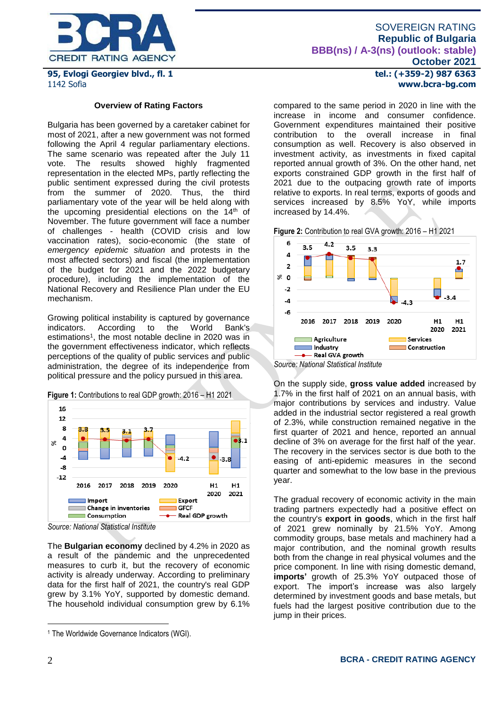

# SOVEREIGN RATING **Republic of Bulgaria BBB(ns) / A-3(ns) (outlook: stable) October 2021**

**95, Evlogi Georgiev blvd., fl. 1** 1142 Sofia

#### **Overview of Rating Factors**

Bulgaria has been governed by a caretaker cabinet for most of 2021, after а new government was not formed following the April 4 regular parliamentary elections. The same scenario was repeated after the July 11 vote. The results showed highly fragmented representation in the elected MPs, partly reflecting the public sentiment expressed during the civil protests from the summer of 2020. Thus, the third parliamentary vote of the year will be held along with the upcoming presidential elections on the  $14<sup>th</sup>$  of November. The future government will face a number of challenges - health (COVID crisis and low vaccination rates), socio-economic (the state of *emergency epidemic situation* and protests in the most affected sectors) and fiscal (the implementation of the budget for 2021 and the 2022 budgetary procedure), including the implementation of the National Recovery and Resilience Plan under the EU mechanism.

Growing political instability is captured by governance indicators. According to the World Bank's estimations<sup>1</sup>, the most notable decline in 2020 was in the government effectiveness indicator, which reflects perceptions of the quality of public services and public administration, the degree of its independence from political pressure and the policy pursued in this area.

**Figure 1:** Contributions to real GDP growth: 2016 – H1 2021



*Source: National Statistical Institute*

The **Bulgarian economy** declined by 4.2% in 2020 as a result of the pandemic and the unprecedented measures to curb it, but the recovery of economic activity is already underway. According to preliminary data for the first half of 2021, the country's real GDP grew by 3.1% YoY, supported by domestic demand. The household individual consumption grew by 6.1%

**tel.: (+359-2) 987 6363 www.bcra-bg.com** 

compared to the same period in 2020 in line with the increase in income and consumer confidence. Government expenditures maintained their positive contribution to the overall increase in final consumption as well. Recovery is also observed in investment activity, as investments in fixed capital reported annual growth of 3%. On the other hand, net exports constrained GDP growth in the first half of 2021 due to the outpacing growth rate of imports relative to exports. In real terms, exports of goods and services increased by 8.5% YoY, while imports increased by 14.4%.

**Figure 2:** Contribution to real GVA growth: 2016 – H1 2021



*Source: National Statistical Institute*

On the supply side, **gross value added** increased by 1.7% in the first half of 2021 on an annual basis, with major contributions by services and industry. Value added in the industrial sector registered a real growth of 2.3%, while construction remained negative in the first quarter of 2021 and hence, reported an annual decline of 3% on average for the first half of the year. The recovery in the services sector is due both to the easing of anti-epidemic measures in the second quarter and somewhat to the low base in the previous year.

The gradual recovery of economic activity in the main trading partners expectedly had a positive effect on the country's **export in goods**, which in the first half of 2021 grew nominally by 21.5% YoY. Among commodity groups, base metals and machinery had a major contribution, and the nominal growth results both from the change in real physical volumes and the price component. In line with rising domestic demand, **imports'** growth of 25.3% YoY outpaced those of export. The import's increase was also largely determined by investment goods and base metals, but fuels had the largest positive contribution due to the jump in their prices.

1

<sup>&</sup>lt;sup>1</sup> The Worldwide Governance Indicators (WGI).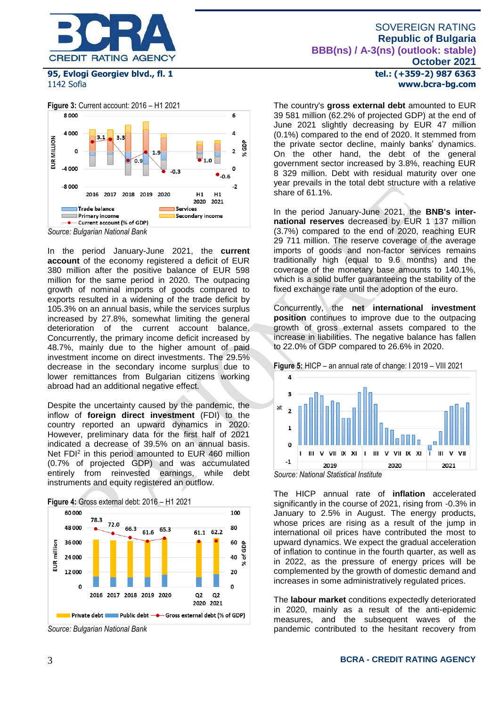



In the period January-June 2021, the **current account** of the economy registered a deficit of EUR 380 million after the positive balance of EUR 598 million for the same period in 2020. The outpacing growth of nominal imports of goods compared to exports resulted in a widening of the trade deficit by 105.3% on an annual basis, while the services surplus increased by 27.8%, somewhat limiting the general deterioration of the current account balance. Concurrently, the primary income deficit increased by 48.7%, mainly due to the higher amount of paid investment income on direct investments. The 29.5% decrease in the secondary income surplus due to lower remittances from Bulgarian citizens working abroad had an additional negative effect.

Despite the uncertainty caused by the pandemic, the inflow of **foreign direct investment** (FDI) to the country reported an upward dynamics in 2020. However, preliminary data for the first half of 2021 indicated a decrease of 39.5% on an annual basis. Net FDI<sup>2</sup> in this period amounted to EUR 460 million (0.7% of projected GDP) and was accumulated entirely from reinvested earnings, while debt instruments and equity registered an outflow.



**Figure 4:** Gross external debt: 2016 – H1 2021

**tel.: (+359-2) 987 6363 www.bcra-bg.com** 

The country's **gross external debt** amounted to EUR 39 581 million (62.2% of projected GDP) at the end of June 2021 slightly decreasing by EUR 47 million (0.1%) compared to the end of 2020. It stemmed from the private sector decline, mainly banks' dynamics. On the other hand, the debt of the general government sector increased by 3.8%, reaching EUR 8 329 million. Debt with residual maturity over one year prevails in the total debt structure with a relative share of 61.1%.

In the period January-June 2021, the **BNB's international reserves** decreased by EUR 1 137 million (3.7%) compared to the end of 2020, reaching EUR 29 711 million. The reserve coverage of the average imports of goods and non-factor services remains traditionally high (equal to 9.6 months) and the coverage of the monetary base amounts to 140.1%, which is a solid buffer guaranteeing the stability of the fixed exchange rate until the adoption of the euro.

Concurrently, the **net international investment position** continues to improve due to the outpacing growth of gross external assets compared to the increase in liabilities. The negative balance has fallen to 22.0% of GDP compared to 26.6% in 2020.

**Figure 5:** HICP – an annual rate of change: I 2019 – VIII 2021





The HICP annual rate of **inflation** accelerated significantly in the course of 2021, rising from -0.3% in January to 2.5% in August. The energy products, whose prices are rising as a result of the jump in international oil prices have contributed the most to upward dynamics. We expect the gradual acceleration of inflation to continue in the fourth quarter, as well as in 2022, as the pressure of energy prices will be complemented by the growth of domestic demand and increases in some administratively regulated prices.

The **labour market** conditions expectedly deteriorated in 2020, mainly as a result of the anti-epidemic measures, and the subsequent waves of the pandemic contributed to the hesitant recovery from

*Source: Bulgarian National Bank*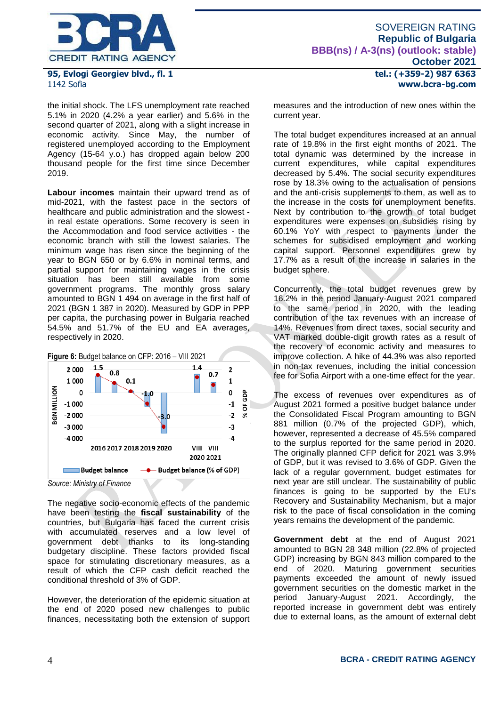

the initial shock. The LFS unemployment rate reached 5.1% in 2020 (4.2% a year earlier) and 5.6% in the second quarter of 2021, along with a slight increase in economic activity. Since May, the number of registered unemployed according to the Employment Agency (15-64 y.o.) has dropped again below 200 thousand people for the first time since December 2019.

**Labour incomes** maintain their upward trend as of mid-2021, with the fastest pace in the sectors of healthcare and public administration and the slowest in real estate operations. Some recovery is seen in the Accommodation and food service activities - the economic branch with still the lowest salaries. The minimum wage has risen since the beginning of the year to BGN 650 or by 6.6% in nominal terms, and partial support for maintaining wages in the crisis situation has been still available from some government programs. The monthly gross salary amounted to BGN 1 494 on average in the first half of 2021 (BGN 1 387 in 2020). Measured by GDP in PPP per capita, the purchasing power in Bulgaria reached 54.5% and 51.7% of the EU and EA averages, respectively in 2020.



The negative socio-economic effects of the pandemic have been testing the **fiscal sustainability** of the countries, but Bulgaria has faced the current crisis with accumulated reserves and a low level of government debt thanks to its long-standing budgetary discipline. These factors provided fiscal space for stimulating discretionary measures, as a result of which the CFP cash deficit reached the conditional threshold of 3% of GDP.

However, the deterioration of the epidemic situation at the end of 2020 posed new challenges to public finances, necessitating both the extension of support **tel.: (+359-2) 987 6363 www.bcra-bg.com** 

measures and the introduction of new ones within the current year.

The total budget expenditures increased at an annual rate of 19.8% in the first eight months of 2021. The total dynamic was determined by the increase in current expenditures, while capital expenditures decreased by 5.4%. The social security expenditures rose by 18.3% owing to the actualisation of pensions and the anti-crisis supplements to them, as well as to the increase in the costs for unemployment benefits. Next by contribution to the growth of total budget expenditures were expenses on subsidies rising by 60.1% YoY with respect to payments under the schemes for subsidised employment and working capital support. Personnel expenditures grew by 17.7% as a result of the increase in salaries in the budget sphere.

Concurrently, the total budget revenues grew by 16.2% in the period January-August 2021 compared to the same period in 2020, with the leading contribution of the tax revenues with an increase of 14%. Revenues from direct taxes, social security and VAT marked double-digit growth rates as a result of the recovery of economic activity and measures to improve collection. A hike of 44.3% was also reported in non-tax revenues, including the initial concession fee for Sofia Airport with a one-time effect for the year.

The excess of revenues over expenditures as of August 2021 formed a positive budget balance under the Consolidated Fiscal Program amounting to BGN 881 million (0.7% of the projected GDP), which, however, represented a decrease of 45.5% compared to the surplus reported for the same period in 2020. The originally planned CFP deficit for 2021 was 3.9% of GDP, but it was revised to 3.6% of GDP. Given the lack of a regular government, budget estimates for next year are still unclear. The sustainability of public finances is going to be supported by the EU's Recovery and Sustainability Mechanism, but a major risk to the pace of fiscal consolidation in the coming years remains the development of the pandemic.

**Government debt** at the end of August 2021 amounted to BGN 28 348 million (22.8% of projected GDP) increasing by BGN 843 million compared to the end of 2020. Maturing government securities payments exceeded the amount of newly issued government securities on the domestic market in the period January-August 2021. Accordingly, the reported increase in government debt was entirely due to external loans, as the amount of external debt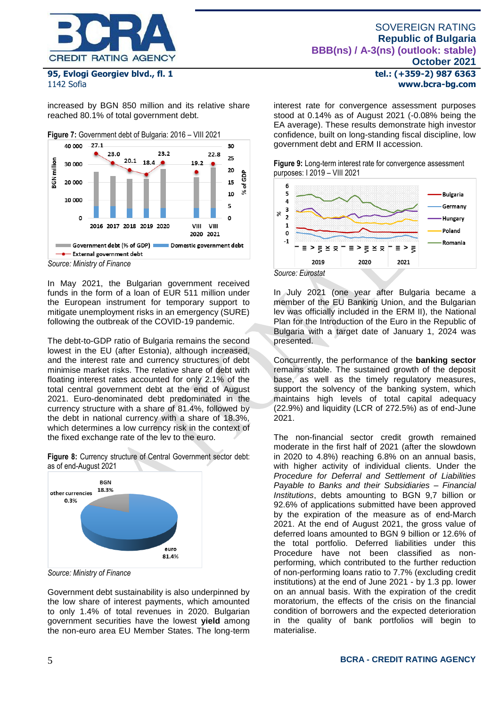

increased by BGN 850 million and its relative share reached 80.1% of total government debt.



*Source: Ministry of Finance*

In May 2021, the Bulgarian government received funds in the form of a loan of EUR 511 million under the European instrument for temporary support to mitigate unemployment risks in an emergency (SURE) following the outbreak of the COVID-19 pandemic.

The debt-to-GDP ratio of Bulgaria remains the second lowest in the EU (after Estonia), although increased, and the interest rate and currency structures of debt minimise market risks. The relative share of debt with floating interest rates accounted for only 2.1% of the total central government debt at the end of August 2021. Euro-denominated debt predominated in the currency structure with a share of 81.4%, followed by the debt in national currency with a share of 18.3%, which determines a low currency risk in the context of the fixed exchange rate of the lev to the euro.

**Figure 8:** Currency structure of Central Government sector debt: as of end-August 2021



*Source: Ministry of Finance*

Government debt sustainability is also underpinned by the low share of interest payments, which amounted to only 1.4% of total revenues in 2020. Bulgarian government securities have the lowest **yield** among the non-euro area EU Member States. The long-term

**tel.: (+359-2) 987 6363 www.bcra-bg.com** 

interest rate for convergence assessment purposes stood at 0.14% as of August 2021 (-0.08% being the EA average). These results demonstrate high investor confidence, built on long-standing fiscal discipline, low government debt and ERM II accession.

**Figure 9:** Long-term interest rate for convergence assessment purposes: I 2019 – VIII 2021



In July 2021 (one year after Bulgaria became a member of the EU Banking Union, and the Bulgarian lev was officially included in the ERM II), the National Plan for the Introduction of the Euro in the Republic of Bulgaria with a target date of January 1, 2024 was presented.

Concurrently, the performance of the **banking sector** remains stable. The sustained growth of the deposit base, as well as the timely regulatory measures, support the solvency of the banking system, which maintains high levels of total capital adequacy (22.9%) and liquidity (LCR of 272.5%) as of end-June 2021.

The non-financial sector credit growth remained moderate in the first half of 2021 (after the slowdown in 2020 to 4.8%) reaching 6.8% on an annual basis, with higher activity of individual clients. Under the *Procedure for Deferral and Settlement of Liabilities Payable to Banks and their Subsidiaries – Financial Institutions*, debts amounting to BGN 9,7 billion or 92.6% of applications submitted have been approved by the expiration of the measure as of end-March 2021. At the end of August 2021, the gross value of deferred loans amounted to BGN 9 billion or 12.6% of the total portfolio. Deferred liabilities under this Procedure have not been classified as nonperforming, which contributed to the further reduction of non-performing loans ratio to 7.7% (excluding credit institutions) at the end of June 2021 - by 1.3 pp. lower on an annual basis. With the expiration of the credit moratorium, the effects of the crisis on the financial condition of borrowers and the expected deterioration in the quality of bank portfolios will begin to materialise.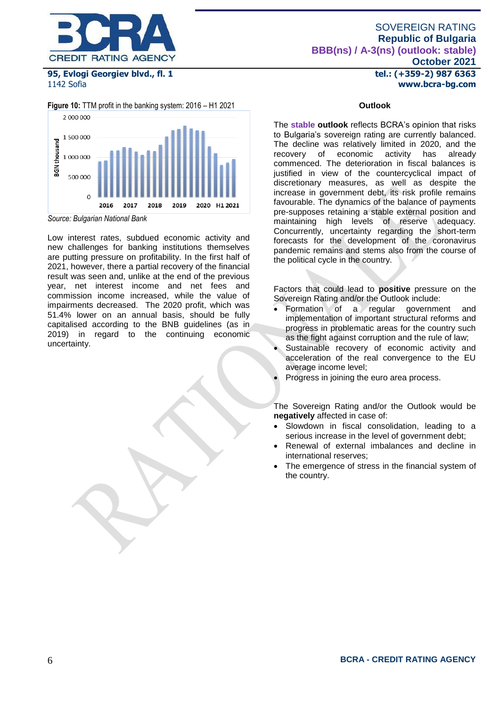

## SOVEREIGN RATING **Republic of Bulgaria BBB(ns) / A-3(ns) (outlook: stable) October 2021**

**tel.: (+359-2) 987 6363 www.bcra-bg.com** 

**95, Evlogi Georgiev blvd., fl. 1** 1142 Sofia

**Figure 10:** TTM profit in the banking system: 2016 – H1 2021



*Source: Bulgarian National Bank*

Low interest rates, subdued economic activity and new challenges for banking institutions themselves are putting pressure on profitability. In the first half of 2021, however, there a partial recovery of the financial result was seen and, unlike at the end of the previous year, net interest income and net fees and commission income increased, while the value of impairments decreased. The 2020 profit, which was 51.4% lower on an annual basis, should be fully capitalised according to the BNB guidelines (as in 2019) in regard to the continuing economic uncertainty.

#### **Outlook**

The **stable outlook** reflects BCRA's opinion that risks to Bulgaria's sovereign rating are currently balanced. The decline was relatively limited in 2020, and the recovery of economic activity has already recovery of economic activity has already commenced. The deterioration in fiscal balances is justified in view of the countercyclical impact of discretionary measures, as well as despite the increase in government debt, its risk profile remains favourable. The dynamics of the balance of payments pre-supposes retaining a stable external position and maintaining high levels of reserve adequacy. Concurrently, uncertainty regarding the short-term forecasts for the development of the coronavirus pandemic remains and stems also from the course of the political cycle in the country.

Factors that could lead to **positive** pressure on the Sovereign Rating and/or the Outlook include:

- Formation of a regular government and implementation of important structural reforms and progress in problematic areas for the country such as the fight against corruption and the rule of law;
- Sustainable recovery of economic activity and acceleration of the real convergence to the EU average income level;
- Progress in joining the euro area process.

The Sovereign Rating and/or the Outlook would be **negatively** affected in case of:

- Slowdown in fiscal consolidation, leading to a serious increase in the level of government debt;
- Renewal of external imbalances and decline in international reserves;
- The emergence of stress in the financial system of the country.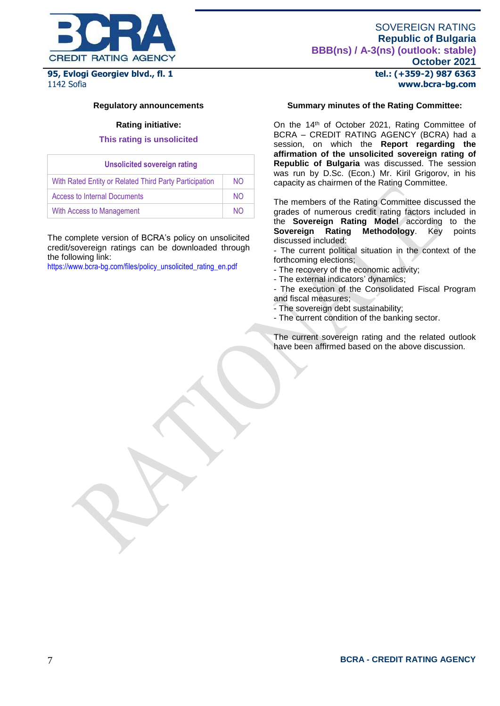

# **Republic of Bulgaria BBB(ns) / A-3(ns) (outlook: stable)**

**95, Evlogi Georgiev blvd., fl. 1** 1142 Sofia

## **tel.: (+359-2) 987 6363 www.bcra-bg.com**

**October 2021**

SOVEREIGN RATING

#### **Regulatory announcements**

#### **Rating initiative:**

#### **This rating is unsolicited**

| <b>Unsolicited sovereign rating</b>                    |     |  |  |  |  |  |
|--------------------------------------------------------|-----|--|--|--|--|--|
| With Rated Entity or Related Third Party Participation | NO. |  |  |  |  |  |
| <b>Access to Internal Documents</b>                    | NO. |  |  |  |  |  |
| With Access to Management                              | NΩ  |  |  |  |  |  |

The complete version of BCRA's policy on unsolicited credit/sovereign ratings can be downloaded through the following link:

[https://www.bcra-bg.com/files/policy\\_unsolicited\\_rating\\_en.pdf](https://www.bcra-bg.com/files/policy_unsolicited_rating_en.pdf)

## **Summary minutes of the Rating Committee:**

On the 14<sup>th</sup> of October 2021, Rating Committee of BCRA – CREDIT RATING AGENCY (BCRA) had a session, on which the **Report regarding the affirmation of the unsolicited sovereign rating of Republic of Bulgaria** was discussed. The session was run by D.Sc. (Econ.) Mr. Kiril Grigorov, in his capacity as chairmen of the Rating Committee.

The members of the Rating Committee discussed the grades of numerous credit rating factors included in the **Sovereign Rating Model** according to the **Sovereign Rating Methodology**. Key points discussed included:

- The current political situation in the context of the forthcoming elections;

- The recovery of the economic activity;
- The external indicators' dynamics;
- The execution of the Consolidated Fiscal Program and fiscal measures;
- The sovereign debt sustainability;
- The current condition of the banking sector.

The current sovereign rating and the related outlook have been affirmed based on the above discussion.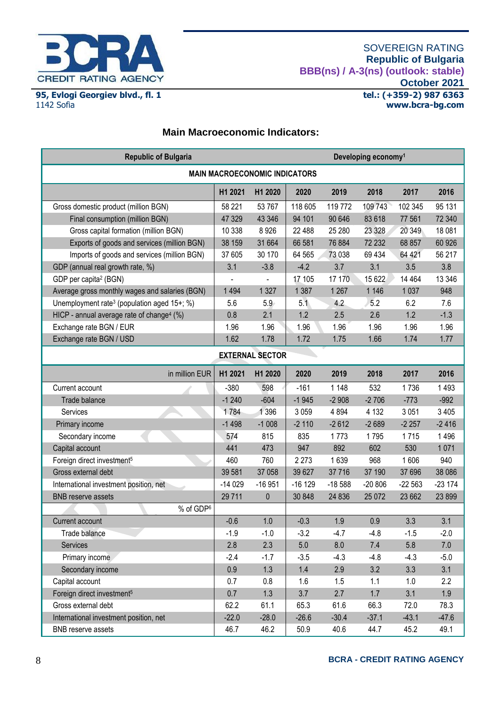

J.

## **Main Macroeconomic Indicators:**

| <b>Republic of Bulgaria</b>                             |                        |          |          | Developing economy <sup>1</sup> |          |          |          |  |  |
|---------------------------------------------------------|------------------------|----------|----------|---------------------------------|----------|----------|----------|--|--|
| <b>MAIN MACROECONOMIC INDICATORS</b>                    |                        |          |          |                                 |          |          |          |  |  |
|                                                         | H1 2021                | H1 2020  | 2020     | 2019                            | 2018     | 2017     | 2016     |  |  |
| Gross domestic product (million BGN)                    | 58 221                 | 53 767   | 118 605  | 119 772                         | 109 743  | 102 345  | 95 131   |  |  |
| Final consumption (million BGN)                         | 47 329                 | 43 346   | 94 101   | 90 646                          | 83 618   | 77 561   | 72 340   |  |  |
| Gross capital formation (million BGN)                   | 10 338                 | 8926     | 22 488   | 25 280                          | 23 3 28  | 20 349   | 18 081   |  |  |
| Exports of goods and services (million BGN)             | 38 159                 | 31 664   | 66 581   | 76 884                          | 72 232   | 68 857   | 60 926   |  |  |
| Imports of goods and services (million BGN)             | 37 605                 | 30 170   | 64 565   | 73 038                          | 69 434   | 64 421   | 56 217   |  |  |
| GDP (annual real growth rate, %)                        | 3.1                    | $-3.8$   | $-4.2$   | 3.7                             | 3.1      | 3.5      | 3.8      |  |  |
| GDP per capita <sup>2</sup> (BGN)                       |                        |          | 17 105   | 17 170                          | 15 622   | 14 4 64  | 13 346   |  |  |
| Average gross monthly wages and salaries (BGN)          | 1 4 9 4                | 1 3 2 7  | 1 3 8 7  | 1 2 6 7                         | 1 1 4 6  | 1 0 3 7  | 948      |  |  |
| Unemployment rate <sup>3</sup> (population aged 15+; %) | 5.6                    | 5.9      | 5.1      | 4.2                             | 5.2      | 6.2      | 7.6      |  |  |
| HICP - annual average rate of change <sup>4</sup> (%)   | 0.8                    | 2.1      | 1.2      | 2.5                             | 2.6      | 1.2      | $-1.3$   |  |  |
| Exchange rate BGN / EUR                                 | 1.96                   | 1.96     | 1.96     | 1.96                            | 1.96     | 1.96     | 1.96     |  |  |
| Exchange rate BGN / USD                                 | 1.62                   | 1.78     | 1.72     | 1.75                            | 1.66     | 1.74     | 1.77     |  |  |
|                                                         | <b>EXTERNAL SECTOR</b> |          |          |                                 |          |          |          |  |  |
| in million EUR                                          | H1 2021                | H1 2020  | 2020     | 2019                            | 2018     | 2017     | 2016     |  |  |
| Current account                                         | $-380$                 | 598      | $-161$   | 1 1 4 8                         | 532      | 1736     | 1 4 9 3  |  |  |
| Trade balance                                           | $-1240$                | $-604$   | $-1945$  | $-2908$                         | $-2706$  | $-773$   | $-992$   |  |  |
| Services                                                | 1784                   | 1 3 9 6  | 3 0 5 9  | 4 8 9 4                         | 4 1 3 2  | 3 0 5 1  | 3 4 0 5  |  |  |
| Primary income                                          | $-1498$                | $-1008$  | $-2110$  | $-2612$                         | $-2689$  | $-2257$  | $-2416$  |  |  |
| Secondary income                                        | 574                    | 815      | 835      | 1773                            | 1795     | 1715     | 1496     |  |  |
| Capital account                                         | 441                    | 473      | 947      | 892                             | 602      | 530      | 1071     |  |  |
| Foreign direct investment <sup>5</sup>                  | 460                    | 760      | 2 2 7 3  | 1639                            | 968      | 1606     | 940      |  |  |
| Gross external debt                                     | 39 581                 | 37 058   | 39 627   | 37 716                          | 37 190   | 37 696   | 38 086   |  |  |
| International investment position, net                  | $-14029$               | $-16951$ | $-16129$ | $-18588$                        | $-20806$ | $-22563$ | $-23174$ |  |  |
| <b>BNB</b> reserve assets                               | 29 711                 | 0        | 30 848   | 24 836                          | 25 072   | 23 662   | 23 899   |  |  |
| % of GDP <sup>6</sup>                                   |                        |          |          |                                 |          |          |          |  |  |
| Current account                                         | $-0.6$                 | 1.0      | $-0.3$   | 1.9                             | 0.9      | 3.3      | 3.1      |  |  |
| Trade balance                                           | $-1.9$                 | $-1.0$   | $-3.2$   | $-4.7$                          | $-4.8$   | $-1.5$   | $-2.0$   |  |  |
| Services                                                | 2.8                    | 2.3      | $5.0\,$  | $8.0\,$                         | 7.4      | $5.8\,$  | $7.0\,$  |  |  |
| Primary income                                          | $-2.4$                 | $-1.7$   | $-3.5$   | $-4.3$                          | $-4.8$   | $-4.3$   | $-5.0$   |  |  |
| Secondary income                                        | 0.9                    | 1.3      | 1.4      | 2.9                             | 3.2      | 3.3      | 3.1      |  |  |
| Capital account                                         | 0.7                    | 0.8      | 1.6      | 1.5                             | 1.1      | 1.0      | 2.2      |  |  |
| Foreign direct investment <sup>5</sup>                  | 0.7                    | 1.3      | 3.7      | 2.7                             | 1.7      | 3.1      | $1.9\,$  |  |  |
| Gross external debt                                     | 62.2                   | 61.1     | 65.3     | 61.6                            | 66.3     | 72.0     | 78.3     |  |  |
| International investment position, net                  | $-22.0$                | $-28.0$  | $-26.6$  | $-30.4$                         | $-37.1$  | $-43.1$  | $-47.6$  |  |  |
| <b>BNB</b> reserve assets                               | 46.7                   | 46.2     | 50.9     | 40.6                            | 44.7     | 45.2     | 49.1     |  |  |